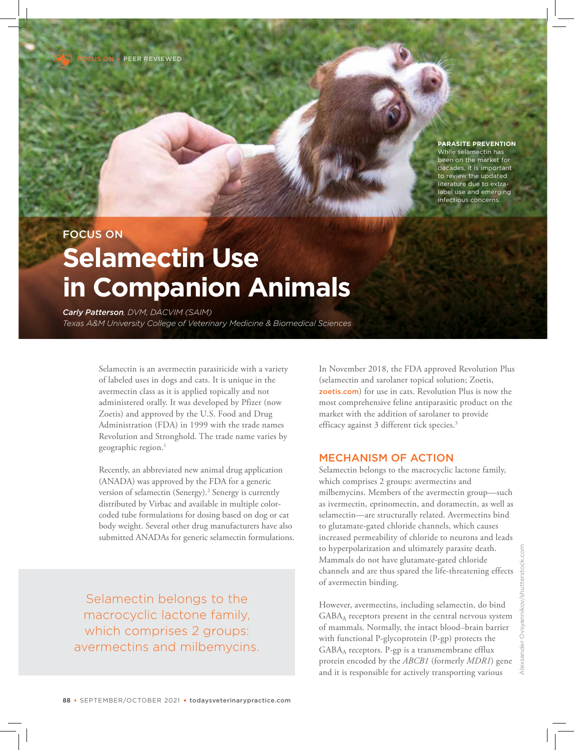FOCUS ONPEER REVIEWED

#### **PARASITE PREVENTION**

While selamectin has been on the market for cades, it is important to review the updated literature due to extralabel use and emerging infectious concerns.

# FOCUS ON **Selamectin Use in Companion Animals**

*Carly Patterson, DVM, DACVIM (SAIM) Texas A&M University College of Veterinary Medicine & Biomedical Sciences*

> Selamectin is an avermectin parasiticide with a variety of labeled uses in dogs and cats. It is unique in the avermectin class as it is applied topically and not administered orally. It was developed by Pfizer (now Zoetis) and approved by the U.S. Food and Drug Administration (FDA) in 1999 with the trade names Revolution and Stronghold. The trade name varies by geographic region.<sup>1</sup>

Recently, an abbreviated new animal drug application (ANADA) was approved by the FDA for a generic version of selamectin (Senergy).<sup>2</sup> Senergy is currently distributed by Virbac and available in multiple colorcoded tube formulations for dosing based on dog or cat body weight. Several other drug manufacturers have also submitted ANADAs for generic selamectin formulations.

Selamectin belongs to the macrocyclic lactone family, which comprises 2 groups: avermectins and milbemycins.

In November 2018, the FDA approved Revolution Plus (selamectin and sarolaner topical solution; Zoetis, zoetis.com) for use in cats. Revolution Plus is now the most comprehensive feline antiparasitic product on the market with the addition of sarolaner to provide efficacy against 3 different tick species.<sup>3</sup>

#### MECHANISM OF ACTION

Selamectin belongs to the macrocyclic lactone family, which comprises 2 groups: avermectins and milbemycins. Members of the avermectin group—such as ivermectin, eprinomectin, and doramectin, as well as selamectin—are structurally related. Avermectins bind to glutamate-gated chloride channels, which causes increased permeability of chloride to neurons and leads to hyperpolarization and ultimately parasite death. Mammals do not have glutamate-gated chloride channels and are thus spared the life-threatening effects of avermectin binding.

However, avermectins, including selamectin, do bind GABAA receptors present in the central nervous system of mammals. Normally, the intact blood–brain barrier with functional P-glycoprotein (P-gp) protects the GABAA receptors. P-gp is a transmembrane efflux protein encoded by the *ABCB1* (formerly *MDR1*) gene and it is responsible for actively transporting various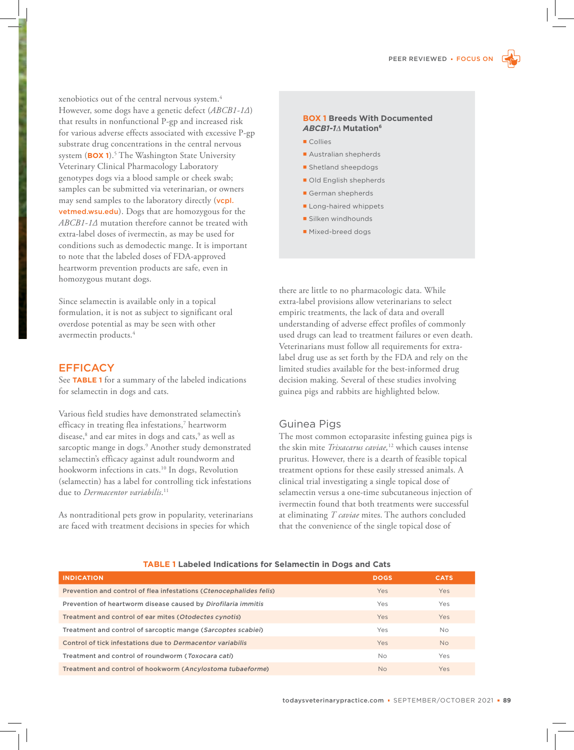xenobiotics out of the central nervous system.<sup>4</sup> However, some dogs have a genetic defect (*ABCB1-1∆*) that results in nonfunctional P-gp and increased risk for various adverse effects associated with excessive P-gp substrate drug concentrations in the central nervous system (**BOX 1**).<sup>5</sup> The Washington State University Veterinary Clinical Pharmacology Laboratory genotypes dogs via a blood sample or cheek swab; samples can be submitted via veterinarian, or owners may send samples to the laboratory directly (vcpl. vetmed.wsu.edu). Dogs that are homozygous for the *ABCB1-1∆* mutation therefore cannot be treated with extra-label doses of ivermectin, as may be used for conditions such as demodectic mange. It is important to note that the labeled doses of FDA-approved heartworm prevention products are safe, even in homozygous mutant dogs.

Since selamectin is available only in a topical formulation, it is not as subject to significant oral overdose potential as may be seen with other avermectin products.<sup>4</sup>

#### **EFFICACY**

See **TABLE 1** for a summary of the labeled indications for selamectin in dogs and cats.

Various field studies have demonstrated selamectin's efficacy in treating flea infestations,<sup>7</sup> heartworm disease,<sup>8</sup> and ear mites in dogs and cats,<sup>9</sup> as well as sarcoptic mange in dogs.<sup>9</sup> Another study demonstrated selamectin's efficacy against adult roundworm and hookworm infections in cats.<sup>10</sup> In dogs, Revolution (selamectin) has a label for controlling tick infestations due to *Dermacentor variabilis*. 11

As nontraditional pets grow in popularity, veterinarians are faced with treatment decisions in species for which

#### **BOX 1 Breeds With Documented**  *ABCB1-1*∆ **Mutation<sup>6</sup>**

- Collies
- **Australian shepherds**
- **Shetland sheepdogs**
- Old English shepherds
- German shepherds
- **Long-haired whippets**
- **Silken windhounds**
- **Mixed-breed dogs**

there are little to no pharmacologic data. While extra-label provisions allow veterinarians to select empiric treatments, the lack of data and overall understanding of adverse effect profiles of commonly used drugs can lead to treatment failures or even death. Veterinarians must follow all requirements for extralabel drug use as set forth by the FDA and rely on the limited studies available for the best-informed drug decision making. Several of these studies involving guinea pigs and rabbits are highlighted below.

#### Guinea Pigs

The most common ectoparasite infesting guinea pigs is the skin mite *Trixacarus caviae,*<sup>12</sup> which causes intense pruritus. However, there is a dearth of feasible topical treatment options for these easily stressed animals. A clinical trial investigating a single topical dose of selamectin versus a one-time subcutaneous injection of ivermectin found that both treatments were successful at eliminating *T caviae* mites. The authors concluded that the convenience of the single topical dose of

### **INDICATION DOGS CATS** Prevention and control of flea infestations (Ctenocephalides felis) The Yes Yes Yes Yes Yes Yes Prevention of heartworm disease caused by Dirofilaria immitis and the Manus Yes Yes Yes Yes Treatment and control of ear mites (Otodectes cynotis) The Manus Control of the Yes Yes Yes Yes Yes Treatment and control of sarcoptic mange (Sarcoptes scabiei) Treatment of Monocomusic Monocomusic Monocomusic Mo Control of tick infestations due to Dermacentor variabilis Yes No Treatment and control of roundworm (Toxocara cati) No No Yes Treatment and control of hookworm (Ancylostoma tubaeforme) No Wessex No Yes

#### **TABLE 1 Labeled Indications for Selamectin in Dogs and Cats**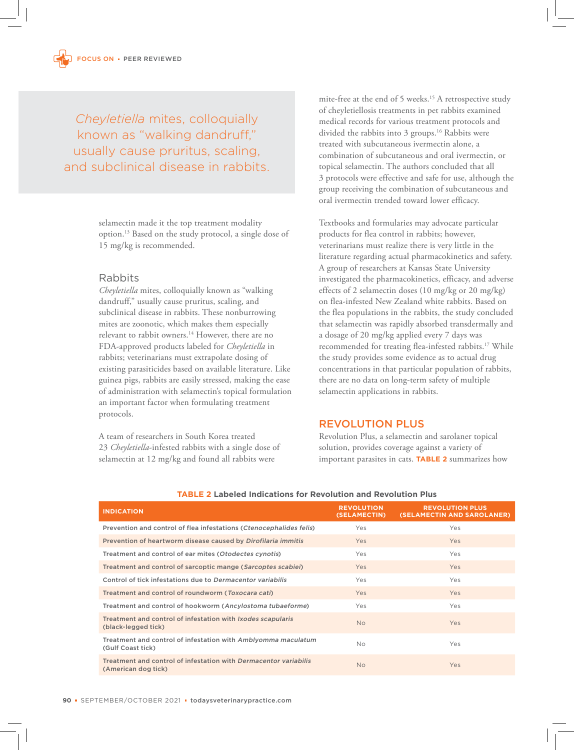*Cheyletiella* mites, colloquially known as "walking dandruff," usually cause pruritus, scaling, and subclinical disease in rabbits.

> selamectin made it the top treatment modality option.<sup>13</sup> Based on the study protocol, a single dose of 15 mg/kg is recommended.

#### Rabbits

*Cheyletiella* mites, colloquially known as "walking dandruff," usually cause pruritus, scaling, and subclinical disease in rabbits. These nonburrowing mites are zoonotic, which makes them especially relevant to rabbit owners.<sup>14</sup> However, there are no FDA-approved products labeled for *Cheyletiella* in rabbits; veterinarians must extrapolate dosing of existing parasiticides based on available literature. Like guinea pigs, rabbits are easily stressed, making the ease of administration with selamectin's topical formulation an important factor when formulating treatment protocols.

A team of researchers in South Korea treated 23 *Cheyletiella*-infested rabbits with a single dose of selamectin at 12 mg/kg and found all rabbits were

mite-free at the end of 5 weeks.<sup>15</sup> A retrospective study of cheyletiellosis treatments in pet rabbits examined medical records for various treatment protocols and divided the rabbits into 3 groups.<sup>16</sup> Rabbits were treated with subcutaneous ivermectin alone, a combination of subcutaneous and oral ivermectin, or topical selamectin. The authors concluded that all 3 protocols were effective and safe for use, although the group receiving the combination of subcutaneous and oral ivermectin trended toward lower efficacy.

Textbooks and formularies may advocate particular products for flea control in rabbits; however, veterinarians must realize there is very little in the literature regarding actual pharmacokinetics and safety. A group of researchers at Kansas State University investigated the pharmacokinetics, efficacy, and adverse effects of 2 selamectin doses (10 mg/kg or 20 mg/kg) on flea-infested New Zealand white rabbits. Based on the flea populations in the rabbits, the study concluded that selamectin was rapidly absorbed transdermally and a dosage of 20 mg/kg applied every 7 days was recommended for treating flea-infested rabbits.<sup>17</sup> While the study provides some evidence as to actual drug concentrations in that particular population of rabbits, there are no data on long-term safety of multiple selamectin applications in rabbits.

### REVOLUTION PLUS

Revolution Plus, a selamectin and sarolaner topical solution, provides coverage against a variety of important parasites in cats. **TABLE 2** summarizes how

| <b>INDICATION</b>                                                                       | <b>REVOLUTION</b><br>(SELAMECTIN) | <b>REVOLUTION PLUS</b><br>(SELAMECTIN AND SAROLANER) |
|-----------------------------------------------------------------------------------------|-----------------------------------|------------------------------------------------------|
| Prevention and control of flea infestations (Ctenocephalides felis)                     | Yes                               | Yes                                                  |
| Prevention of heartworm disease caused by Dirofilaria immitis                           | <b>Yes</b>                        | Yes                                                  |
| Treatment and control of ear mites (Otodectes cynotis)                                  | Yes                               | <b>Yes</b>                                           |
| Treatment and control of sarcoptic mange (Sarcoptes scabiei)                            | Yes                               | Yes                                                  |
| Control of tick infestations due to Dermacentor variabilis                              | Yes                               | Yes                                                  |
| Treatment and control of roundworm (Toxocara cati)                                      | Yes                               | <b>Yes</b>                                           |
| Treatment and control of hookworm (Ancylostoma tubaeforme)                              | Yes                               | Yes                                                  |
| Treatment and control of infestation with Ixodes scapularis<br>(black-legged tick)      | <b>No</b>                         | Yes                                                  |
| Treatment and control of infestation with Amblyomma maculatum<br>(Gulf Coast tick)      | <b>No</b>                         | Yes                                                  |
| Treatment and control of infestation with Dermacentor variabilis<br>(American dog tick) | <b>No</b>                         | Yes                                                  |

#### **TABLE 2 Labeled Indications for Revolution and Revolution Plus**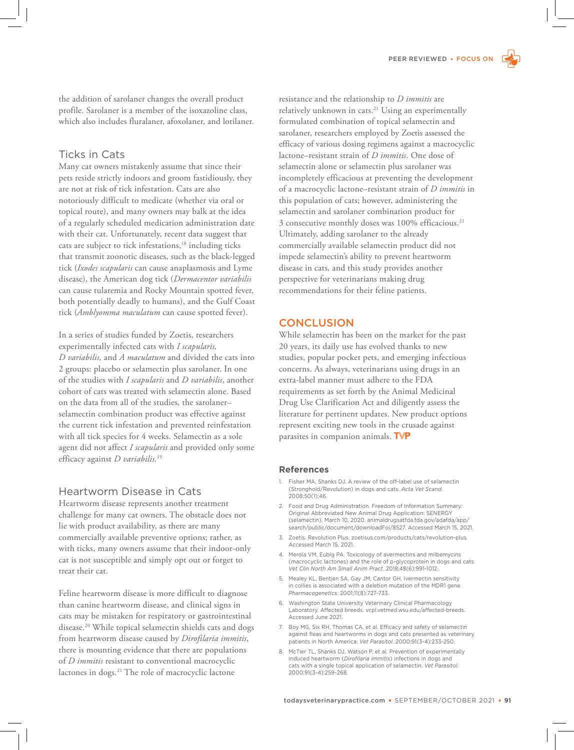the addition of sarolaner changes the overall product profile. Sarolaner is a member of the isoxazoline class, which also includes fluralaner, afoxolaner, and lotilaner.

### Ticks in Cats

Many cat owners mistakenly assume that since their pets reside strictly indoors and groom fastidiously, they are not at risk of tick infestation. Cats are also notoriously difficult to medicate (whether via oral or topical route), and many owners may balk at the idea of a regularly scheduled medication administration date with their cat. Unfortunately, recent data suggest that cats are subject to tick infestations,<sup>18</sup> including ticks that transmit zoonotic diseases, such as the black-legged tick (*Ixodes scapularis* can cause anaplasmosis and Lyme disease), the American dog tick (*Dermacentor variabilis*  can cause tularemia and Rocky Mountain spotted fever, both potentially deadly to humans), and the Gulf Coast tick (*Amblyomma maculatum* can cause spotted fever).

In a series of studies funded by Zoetis, researchers experimentally infected cats with *I scapularis, D variabilis,* and *A maculatum* and divided the cats into 2 groups: placebo or selamectin plus sarolaner. In one of the studies with *I scapularis* and *D variabilis*, another cohort of cats was treated with selamectin alone. Based on the data from all of the studies, the sarolaner– selamectin combination product was effective against the current tick infestation and prevented reinfestation with all tick species for 4 weeks. Selamectin as a sole agent did not affect *I scapularis* and provided only some efficacy against *D variabilis*. 19

#### Heartworm Disease in Cats

Heartworm disease represents another treatment challenge for many cat owners. The obstacle does not lie with product availability, as there are many commercially available preventive options; rather, as with ticks, many owners assume that their indoor-only cat is not susceptible and simply opt out or forget to treat their cat.

Feline heartworm disease is more difficult to diagnose than canine heartworm disease, and clinical signs in cats may be mistaken for respiratory or gastrointestinal disease.<sup>20</sup> While topical selamectin shields cats and dogs from heartworm disease caused by *Dirofilaria immitis*, there is mounting evidence that there are populations of *D immitis* resistant to conventional macrocyclic lactones in dogs.<sup>21</sup> The role of macrocyclic lactone

resistance and the relationship to *D immitis* are relatively unknown in cats.<sup>21</sup> Using an experimentally formulated combination of topical selamectin and sarolaner, researchers employed by Zoetis assessed the efficacy of various dosing regimens against a macrocyclic lactone–resistant strain of *D immitis*. One dose of selamectin alone or selamectin plus sarolaner was incompletely efficacious at preventing the development of a macrocyclic lactone–resistant strain of *D immitis* in this population of cats; however, administering the selamectin and sarolaner combination product for 3 consecutive monthly doses was 100% efficacious.<sup>21</sup> Ultimately, adding sarolaner to the already commercially available selamectin product did not impede selamectin's ability to prevent heartworm disease in cats*,* and this study provides another perspective for veterinarians making drug recommendations for their feline patients.

#### **CONCLUSION**

While selamectin has been on the market for the past 20 years, its daily use has evolved thanks to new studies, popular pocket pets, and emerging infectious concerns. As always, veterinarians using drugs in an extra-label manner must adhere to the FDA requirements as set forth by the Animal Medicinal Drug Use Clarification Act and diligently assess the literature for pertinent updates. New product options represent exciting new tools in the crusade against parasites in companion animals. TVP

#### **References**

- 1. Fisher MA, Shanks DJ. A review of the off-label use of selamectin (Stronghold/Revolution) in dogs and cats. *Acta Vet Scand*. 2008;50(1):46.
- 2. Food and Drug Administration. Freedom of Information Summary: Original Abbreviated New Animal Drug Application: SENERGY (selamectin). March 10, 2020. animaldrugsatfda.fda.gov/adafda/app/ search/public/document/downloadFoi/8527. Accessed March 15, 2021.
- 3. Zoetis. Revolution Plus. zoetisus.com/products/cats/revolution-plus. Accessed March 15, 2021.
- 4. Merola VM, Eubig PA. Toxicology of avermectins and milbemycins (macrocyclic lactones) and the role of p-glycoprotein in dogs and cats. *Vet Clin North Am Small Anim Pract*. 2018;48(6):991-1012.
- 5. Mealey KL, Bentjen SA, Gay JM, Cantor GH. Ivermectin sensitivity in collies is associated with a deletion mutation of the MDR1 gene. *Pharmacogenetics*. 2001;11(8):727-733.
- 6. Washington State University Veterinary Clinical Pharmacology Laboratory. Affected breeds. vcpl.vetmed.wsu.edu/affected-breeds. Accessed June 2021.
- 7. Boy MG, Six RH, Thomas CA, et al. Efficacy and safety of selamectin against fleas and heartworms in dogs and cats presented as veterinary patients in North America. *Vet Parasitol*. 2000;91(3-4):233-250.
- 8. McTier TL, Shanks DJ, Watson P, et al. Prevention of experimentally induced heartworm (*Dirofilaria immitis*) infections in dogs and cats with a single topical application of selamectin. *Vet Parasitol*. 2000;91(3-4):259-268.